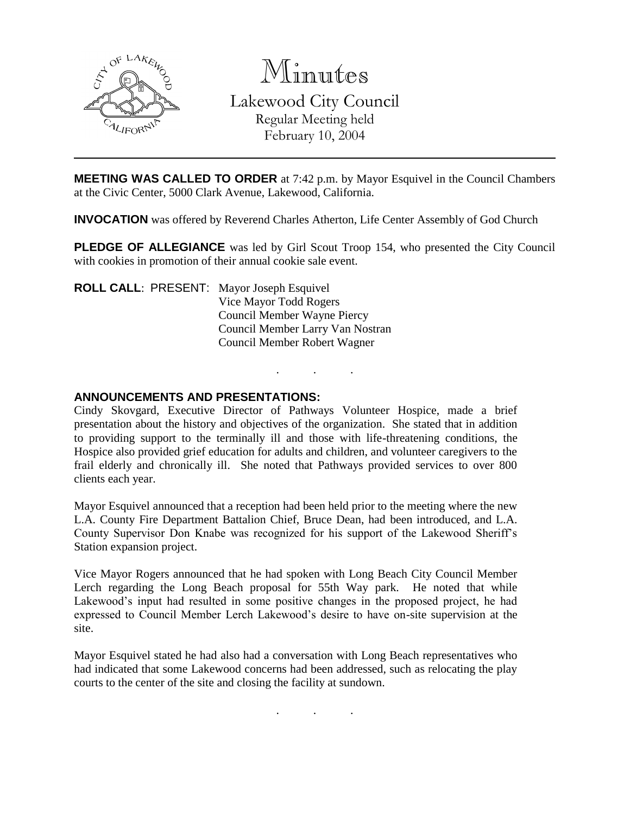

Minutes Lakewood City Council Regular Meeting held February 10, 2004

**MEETING WAS CALLED TO ORDER** at 7:42 p.m. by Mayor Esquivel in the Council Chambers at the Civic Center, 5000 Clark Avenue, Lakewood, California.

**INVOCATION** was offered by Reverend Charles Atherton, Life Center Assembly of God Church

**PLEDGE OF ALLEGIANCE** was led by Girl Scout Troop 154, who presented the City Council with cookies in promotion of their annual cookie sale event.

. . .

**ROLL CALL**: PRESENT: Mayor Joseph Esquivel Vice Mayor Todd Rogers Council Member Wayne Piercy Council Member Larry Van Nostran Council Member Robert Wagner

### **ANNOUNCEMENTS AND PRESENTATIONS:**

Cindy Skovgard, Executive Director of Pathways Volunteer Hospice, made a brief presentation about the history and objectives of the organization. She stated that in addition to providing support to the terminally ill and those with life-threatening conditions, the Hospice also provided grief education for adults and children, and volunteer caregivers to the frail elderly and chronically ill. She noted that Pathways provided services to over 800 clients each year.

Mayor Esquivel announced that a reception had been held prior to the meeting where the new L.A. County Fire Department Battalion Chief, Bruce Dean, had been introduced, and L.A. County Supervisor Don Knabe was recognized for his support of the Lakewood Sheriff's Station expansion project.

Vice Mayor Rogers announced that he had spoken with Long Beach City Council Member Lerch regarding the Long Beach proposal for 55th Way park. He noted that while Lakewood's input had resulted in some positive changes in the proposed project, he had expressed to Council Member Lerch Lakewood's desire to have on-site supervision at the site.

Mayor Esquivel stated he had also had a conversation with Long Beach representatives who had indicated that some Lakewood concerns had been addressed, such as relocating the play courts to the center of the site and closing the facility at sundown.

. . .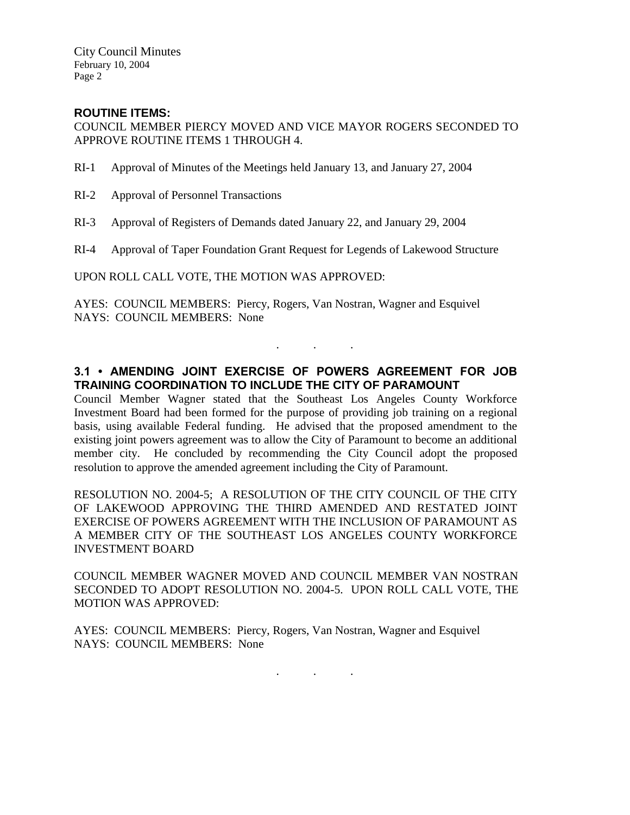City Council Minutes February 10, 2004 Page 2

# **ROUTINE ITEMS:**

COUNCIL MEMBER PIERCY MOVED AND VICE MAYOR ROGERS SECONDED TO APPROVE ROUTINE ITEMS 1 THROUGH 4.

- RI-1 Approval of Minutes of the Meetings held January 13, and January 27, 2004
- RI-2 Approval of Personnel Transactions
- RI-3 Approval of Registers of Demands dated January 22, and January 29, 2004
- RI-4 Approval of Taper Foundation Grant Request for Legends of Lakewood Structure

UPON ROLL CALL VOTE, THE MOTION WAS APPROVED:

AYES: COUNCIL MEMBERS: Piercy, Rogers, Van Nostran, Wagner and Esquivel NAYS: COUNCIL MEMBERS: None

# **3.1 • AMENDING JOINT EXERCISE OF POWERS AGREEMENT FOR JOB TRAINING COORDINATION TO INCLUDE THE CITY OF PARAMOUNT**

. . .

Council Member Wagner stated that the Southeast Los Angeles County Workforce Investment Board had been formed for the purpose of providing job training on a regional basis, using available Federal funding. He advised that the proposed amendment to the existing joint powers agreement was to allow the City of Paramount to become an additional member city. He concluded by recommending the City Council adopt the proposed resolution to approve the amended agreement including the City of Paramount.

RESOLUTION NO. 2004-5; A RESOLUTION OF THE CITY COUNCIL OF THE CITY OF LAKEWOOD APPROVING THE THIRD AMENDED AND RESTATED JOINT EXERCISE OF POWERS AGREEMENT WITH THE INCLUSION OF PARAMOUNT AS A MEMBER CITY OF THE SOUTHEAST LOS ANGELES COUNTY WORKFORCE INVESTMENT BOARD

COUNCIL MEMBER WAGNER MOVED AND COUNCIL MEMBER VAN NOSTRAN SECONDED TO ADOPT RESOLUTION NO. 2004-5. UPON ROLL CALL VOTE, THE MOTION WAS APPROVED:

AYES: COUNCIL MEMBERS: Piercy, Rogers, Van Nostran, Wagner and Esquivel NAYS: COUNCIL MEMBERS: None

. . .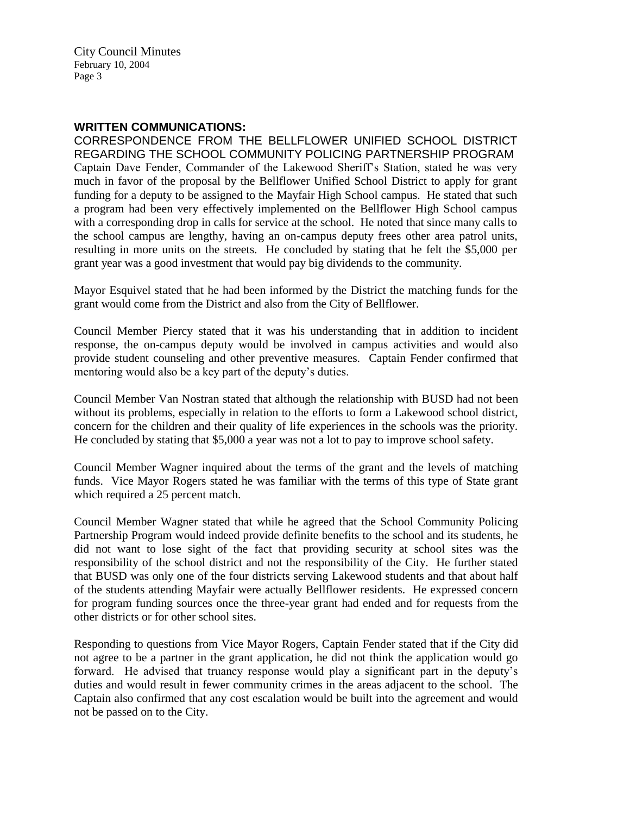City Council Minutes February 10, 2004 Page 3

### **WRITTEN COMMUNICATIONS:**

CORRESPONDENCE FROM THE BELLFLOWER UNIFIED SCHOOL DISTRICT REGARDING THE SCHOOL COMMUNITY POLICING PARTNERSHIP PROGRAM Captain Dave Fender, Commander of the Lakewood Sheriff's Station, stated he was very much in favor of the proposal by the Bellflower Unified School District to apply for grant funding for a deputy to be assigned to the Mayfair High School campus. He stated that such a program had been very effectively implemented on the Bellflower High School campus with a corresponding drop in calls for service at the school. He noted that since many calls to the school campus are lengthy, having an on-campus deputy frees other area patrol units, resulting in more units on the streets. He concluded by stating that he felt the \$5,000 per grant year was a good investment that would pay big dividends to the community.

Mayor Esquivel stated that he had been informed by the District the matching funds for the grant would come from the District and also from the City of Bellflower.

Council Member Piercy stated that it was his understanding that in addition to incident response, the on-campus deputy would be involved in campus activities and would also provide student counseling and other preventive measures. Captain Fender confirmed that mentoring would also be a key part of the deputy's duties.

Council Member Van Nostran stated that although the relationship with BUSD had not been without its problems, especially in relation to the efforts to form a Lakewood school district, concern for the children and their quality of life experiences in the schools was the priority. He concluded by stating that \$5,000 a year was not a lot to pay to improve school safety.

Council Member Wagner inquired about the terms of the grant and the levels of matching funds. Vice Mayor Rogers stated he was familiar with the terms of this type of State grant which required a 25 percent match.

Council Member Wagner stated that while he agreed that the School Community Policing Partnership Program would indeed provide definite benefits to the school and its students, he did not want to lose sight of the fact that providing security at school sites was the responsibility of the school district and not the responsibility of the City. He further stated that BUSD was only one of the four districts serving Lakewood students and that about half of the students attending Mayfair were actually Bellflower residents. He expressed concern for program funding sources once the three-year grant had ended and for requests from the other districts or for other school sites.

Responding to questions from Vice Mayor Rogers, Captain Fender stated that if the City did not agree to be a partner in the grant application, he did not think the application would go forward. He advised that truancy response would play a significant part in the deputy's duties and would result in fewer community crimes in the areas adjacent to the school. The Captain also confirmed that any cost escalation would be built into the agreement and would not be passed on to the City.